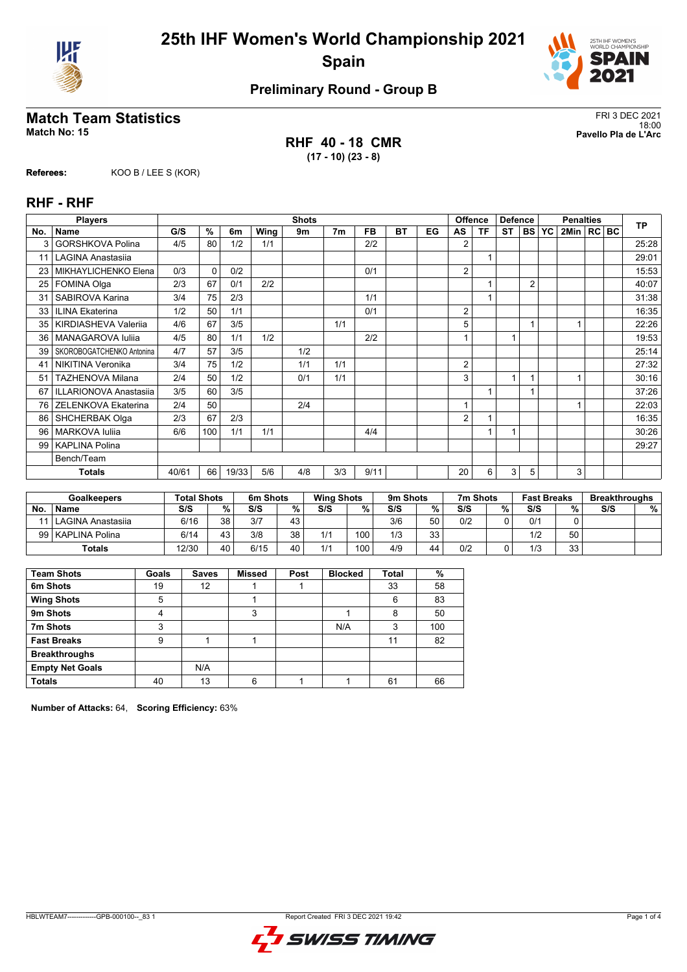



## **Match Team Statistics** FRI 3 DEC 2021

**RHF 40 - 18 CMR (17 - 10) (23 - 8)**

18:00 **Match No: 15 Pavello Pla de L'Arc**

**Referees:** KOO B / LEE S (KOR)

#### **RHF - RHF**

|                 | <b>Players</b><br><b>Shots</b> |       |                     |       |      |     |                | <b>Offence</b><br><b>Defence</b> |    |    | <b>Penalties</b> |    |    |                | <b>TP</b> |                |  |  |       |
|-----------------|--------------------------------|-------|---------------------|-------|------|-----|----------------|----------------------------------|----|----|------------------|----|----|----------------|-----------|----------------|--|--|-------|
| No.             | <b>Name</b>                    | G/S   | $\overline{\gamma}$ | 6m    | Wing | 9m  | 7 <sub>m</sub> | FB.                              | ВT | EG | AS               | ΤF | ST | <b>BS</b>      | <b>YC</b> | 2Min   RC   BC |  |  |       |
| 3               | <b>GORSHKOVA Polina</b>        | 4/5   | 80                  | 1/2   | 1/1  |     |                | 2/2                              |    |    | 2                |    |    |                |           |                |  |  | 25:28 |
| 11              | <b>LAGINA Anastasija</b>       |       |                     |       |      |     |                |                                  |    |    |                  |    |    |                |           |                |  |  | 29:01 |
| 23              | MIKHAYLICHENKO Elena           | 0/3   | $\Omega$            | 0/2   |      |     |                | 0/1                              |    |    | 2                |    |    |                |           |                |  |  | 15:53 |
| 25              | <b>FOMINA Olga</b>             | 2/3   | 67                  | 0/1   | 2/2  |     |                |                                  |    |    |                  |    |    | $\overline{2}$ |           |                |  |  | 40:07 |
| 31              | SABIROVA Karina                | 3/4   | 75                  | 2/3   |      |     |                | 1/1                              |    |    |                  |    |    |                |           |                |  |  | 31:38 |
| 33              | <b>ILINA Ekaterina</b>         | 1/2   | 50                  | 1/1   |      |     |                | 0/1                              |    |    | 2                |    |    |                |           |                |  |  | 16:35 |
| 35 <sub>1</sub> | KIRDIASHEVA Valeriia           | 4/6   | 67                  | 3/5   |      |     | 1/1            |                                  |    |    | 5                |    |    |                |           |                |  |  | 22:26 |
| 36              | MANAGAROVA Iuliia              | 4/5   | 80                  | 1/1   | 1/2  |     |                | 2/2                              |    |    |                  |    | 4  |                |           |                |  |  | 19:53 |
| 39              | SKOROBOGATCHENKO Antonina      | 4/7   | 57                  | 3/5   |      | 1/2 |                |                                  |    |    |                  |    |    |                |           |                |  |  | 25:14 |
| 41              | <b>NIKITINA Veronika</b>       | 3/4   | 75                  | 1/2   |      | 1/1 | 1/1            |                                  |    |    | 2                |    |    |                |           |                |  |  | 27:32 |
| 51              | <b>TAZHENOVA Milana</b>        | 2/4   | 50                  | 1/2   |      | 0/1 | 1/1            |                                  |    |    | 3                |    | 1  |                |           |                |  |  | 30:16 |
| 67              | <b>ILLARIONOVA Anastasija</b>  | 3/5   | 60                  | 3/5   |      |     |                |                                  |    |    |                  |    |    |                |           |                |  |  | 37:26 |
| 76              | ZELENKOVA Ekaterina            | 2/4   | 50                  |       |      | 2/4 |                |                                  |    |    | 1                |    |    |                |           |                |  |  | 22:03 |
| 86              | <b>SHCHERBAK Olga</b>          | 2/3   | 67                  | 2/3   |      |     |                |                                  |    |    | 2                |    |    |                |           |                |  |  | 16:35 |
| 96              | <b>MARKOVA Iulija</b>          | 6/6   | 100                 | 1/1   | 1/1  |     |                | 4/4                              |    |    |                  |    |    |                |           |                |  |  | 30:26 |
| 99              | <b>KAPLINA Polina</b>          |       |                     |       |      |     |                |                                  |    |    |                  |    |    |                |           |                |  |  | 29:27 |
|                 | Bench/Team                     |       |                     |       |      |     |                |                                  |    |    |                  |    |    |                |           |                |  |  |       |
|                 | <b>Totals</b>                  | 40/61 | 66                  | 19/33 | 5/6  | 4/8 | 3/3            | 9/11                             |    |    | 20               | 6  | 3  | 5              |           | 3              |  |  |       |

|    | <b>Goalkeepers</b>  | <b>Total Shots</b> |        | 6m Shots |    | <b>Wing Shots</b> |     | 9m Shots |    | 7m Shots |   | <b>Fast Breaks</b> |     | <b>Breakthroughs</b> |   |
|----|---------------------|--------------------|--------|----------|----|-------------------|-----|----------|----|----------|---|--------------------|-----|----------------------|---|
| No | <b>Name</b>         | S/S                | $\%$ . | S/S      | %  | S/S               | %   | S/S      | %  | S/S      | % | S/S                | 0/2 | S/S                  | % |
|    | l LAGINA Anastasija | 6/16               | 3R     | 3/7      | 43 |                   |     | 3/6      | 50 | 0/2      |   | 0/1                |     |                      |   |
|    | 99   KAPLINA Polina | 6/14               | 43     | 3/8      | 38 | 1/1               | 100 | 1/3      | 33 |          |   | 1/2                | 50  |                      |   |
|    | <b>Totals</b>       | 12/30              | 40     | 6/15     | 40 | 1/1               | 100 | 4/9      | 44 | 0/2      |   | 1/3                | 33  |                      |   |

| <b>Team Shots</b>      | Goals | <b>Saves</b> | <b>Missed</b> | Post | <b>Blocked</b> | Total | %   |
|------------------------|-------|--------------|---------------|------|----------------|-------|-----|
| 6m Shots               | 19    | 12           |               |      |                | 33    | 58  |
| <b>Wing Shots</b>      | 5     |              |               |      |                | 6     | 83  |
| 9m Shots               | 4     |              | 3             |      |                | 8     | 50  |
| 7m Shots               | 3     |              |               |      | N/A            | 3     | 100 |
| <b>Fast Breaks</b>     | 9     |              |               |      |                | 11    | 82  |
| <b>Breakthroughs</b>   |       |              |               |      |                |       |     |
| <b>Empty Net Goals</b> |       | N/A          |               |      |                |       |     |
| <b>Totals</b>          | 40    | 13           | 6             |      |                | 61    | 66  |

**Number of Attacks:** 64, **Scoring Efficiency:** 63%

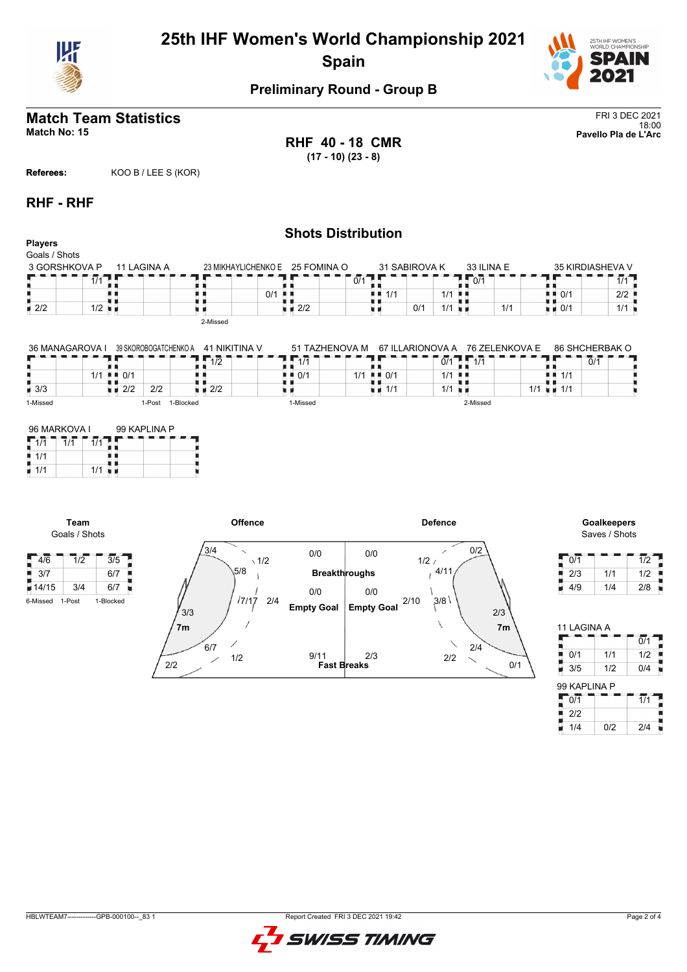



# **Match Team Statistics** FRI 3 DEC 2021

**RHF 40 - 18 CMR (17 - 10) (23 - 8)**

18:00 **Match No: 15 Pavello Pla de L'Arc**

**Referees:** KOO B / LEE S (KOR)

#### **RHF - RHF**

| <b>Players</b>                 |                      |                       |                  |                | <b>Shots Distribution</b>         |                  |               |                      |             |                |                                   |                         |
|--------------------------------|----------------------|-----------------------|------------------|----------------|-----------------------------------|------------------|---------------|----------------------|-------------|----------------|-----------------------------------|-------------------------|
| Goals / Shots<br>3 GORSHKOVA P |                      | 11 LAGINA A           |                  |                | 23 MIKHAYLICHENKO E 25 FOMINA O   |                  | 31 SABIROVA K |                      | 33 ILINA E  |                |                                   | <b>35 KIRDIASHEVA V</b> |
|                                | 1/1                  |                       |                  |                |                                   | 0/1              |               |                      | II 0/1      |                |                                   | 1/1                     |
|                                |                      |                       |                  | 0/1<br>. н. н. |                                   | 1/1              |               | $1/1$                |             |                | $\blacksquare$ $\blacksquare$ 0/1 | 2/2                     |
| $\blacksquare$ 2/2             | $1/2$ $\blacksquare$ |                       |                  |                | $\blacksquare$ $\blacksquare$ 2/2 |                  | 0/1           | $1/1$ $\blacksquare$ |             | 1/1            | $\blacksquare$ 0/1                | 1/1                     |
|                                |                      |                       | 2-Missed         |                |                                   |                  |               |                      |             |                |                                   |                         |
| 36 MANAGAROVA I                |                      | 39 SKOROBOGATCHENKO A | 41 NIKITINA V    |                | 51 TAZHENOVA M                    | 67 ILLARIONOVA A |               |                      |             | 76 ZELENKOVA E |                                   | 86 SHCHERBAK O          |
|                                |                      |                       | $\overline{1/2}$ |                | 1/1                               |                  |               |                      | $0/1$ $1/1$ |                |                                   | 0/1                     |

|                    | 10<br>1/L                                | 111      |                                          | 0/1<br>414<br>$\mathbf{L}$ | 0/1             |
|--------------------|------------------------------------------|----------|------------------------------------------|----------------------------|-----------------|
|                    | $\blacksquare$ $\blacksquare$ 0/1<br>1/1 | ! ■ 0/1  | $\blacksquare$ $\blacksquare$ 0/1<br>1/1 | $1/1$ $\blacksquare$       | ■■ 1/1          |
| $\blacksquare$ 3/3 | 2/2<br>2/2<br>2/2                        |          | 1/1                                      | 1/1<br>- 11                | 111<br>1/1<br>" |
| 1-Missed           | 1-Blocked<br>1-Post                      | 1-Missed |                                          | 2-Missed                   |                 |

| 96 MARKOVA I |     | 99 KAPLINA P |  |  |  |  |  |  |
|--------------|-----|--------------|--|--|--|--|--|--|
|              |     |              |  |  |  |  |  |  |
| 1/1          |     |              |  |  |  |  |  |  |
| 1/1          | 1/1 |              |  |  |  |  |  |  |

**Team** Goals / Shots



Saves / Shots

| 0/1 |     | 1/2 |
|-----|-----|-----|
| 2/3 | 1/1 | 1/2 |
| 4/9 | 1/4 | 2/8 |

| 11 LAGINA A  |     |                  |  |
|--------------|-----|------------------|--|
|              |     | $\overline{0/1}$ |  |
| 0/1          | 1/1 | 1/2              |  |
| 3/5          | 1/2 | 0/4              |  |
| 99 KAPLINA P |     |                  |  |
| 0/1          |     | 1/1              |  |
|              |     |                  |  |

 $1/4$  0/2 2/4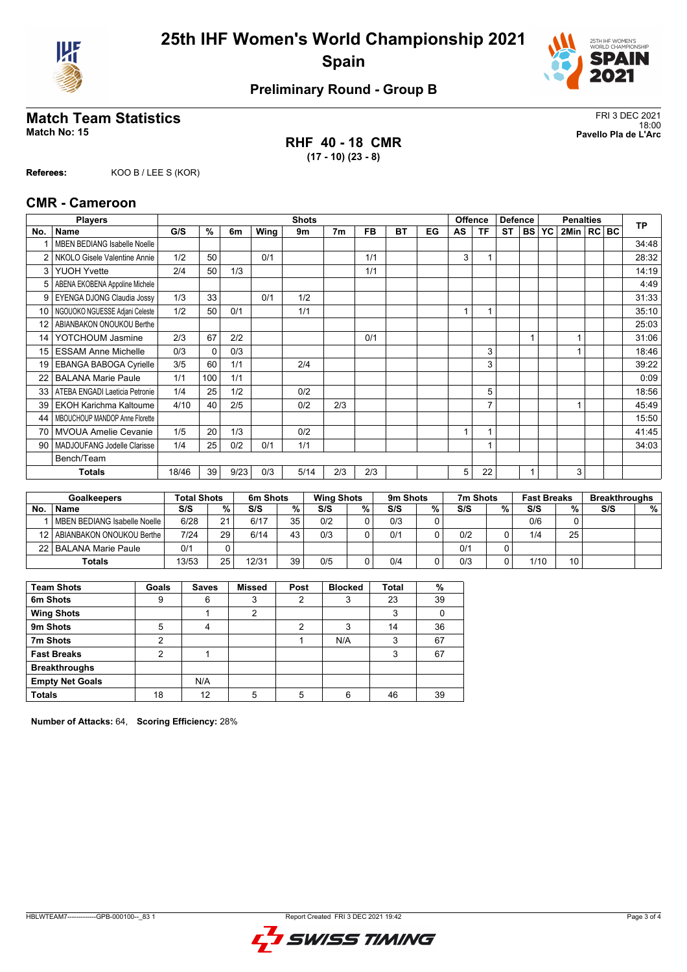



## **Match Team Statistics** FRI 3 DEC 2021

**RHF 40 - 18 CMR (17 - 10) (23 - 8)**

18:00 **Match No: 15 Pavello Pla de L'Arc**

**Referees:** KOO B / LEE S (KOR)

#### **CMR - Cameroon**

|                 | <b>Shots</b><br><b>Players</b>      |       |          |      |      |      | <b>Offence</b><br><b>Defence</b> |     |           | <b>Penalties</b> |    |                |           | <b>TP</b> |           |              |  |  |       |
|-----------------|-------------------------------------|-------|----------|------|------|------|----------------------------------|-----|-----------|------------------|----|----------------|-----------|-----------|-----------|--------------|--|--|-------|
| No.             | Name                                | G/S   | %        | 6m   | Wing | 9m   | 7 <sub>m</sub>                   | FB  | <b>BT</b> | EG               | AS | ΤF             | <b>ST</b> | <b>BS</b> | <b>YC</b> | 2Min   RC BC |  |  |       |
|                 | <b>MBEN BEDIANG Isabelle Noelle</b> |       |          |      |      |      |                                  |     |           |                  |    |                |           |           |           |              |  |  | 34:48 |
| 2               | NKOLO Gisele Valentine Annie        | 1/2   | 50       |      | 0/1  |      |                                  | 1/1 |           |                  | 3  |                |           |           |           |              |  |  | 28:32 |
| 3               | <b>YUOH Yvette</b>                  | 2/4   | 50       | 1/3  |      |      |                                  | 1/1 |           |                  |    |                |           |           |           |              |  |  | 14:19 |
| 5               | ABENA EKOBENA Appoline Michele      |       |          |      |      |      |                                  |     |           |                  |    |                |           |           |           |              |  |  | 4:49  |
| 9               | EYENGA DJONG Claudia Jossy          | 1/3   | 33       |      | 0/1  | 1/2  |                                  |     |           |                  |    |                |           |           |           |              |  |  | 31:33 |
| 10 <sup>1</sup> | NGOUOKO NGUESSE Adjani Celeste      | 1/2   | 50       | 0/1  |      | 1/1  |                                  |     |           |                  |    |                |           |           |           |              |  |  | 35:10 |
| 12              | ABIANBAKON ONOUKOU Berthe           |       |          |      |      |      |                                  |     |           |                  |    |                |           |           |           |              |  |  | 25:03 |
| 14              | YOTCHOUM Jasmine                    | 2/3   | 67       | 2/2  |      |      |                                  | 0/1 |           |                  |    |                |           |           |           |              |  |  | 31:06 |
| 15              | <b>ESSAM Anne Michelle</b>          | 0/3   | $\Omega$ | 0/3  |      |      |                                  |     |           |                  |    | 3              |           |           |           |              |  |  | 18:46 |
| 19              | <b>EBANGA BABOGA Cyrielle</b>       | 3/5   | 60       | 1/1  |      | 2/4  |                                  |     |           |                  |    | 3              |           |           |           |              |  |  | 39:22 |
| 22              | <b>BALANA Marie Paule</b>           | 1/1   | 100      | 1/1  |      |      |                                  |     |           |                  |    |                |           |           |           |              |  |  | 0:09  |
| 33              | ATEBA ENGADI Laeticia Petronie      | 1/4   | 25       | 1/2  |      | 0/2  |                                  |     |           |                  |    | 5              |           |           |           |              |  |  | 18:56 |
| 39              | <b>EKOH Karichma Kaltoume</b>       | 4/10  | 40       | 2/5  |      | 0/2  | 2/3                              |     |           |                  |    | $\overline{7}$ |           |           |           |              |  |  | 45:49 |
| 44              | MBOUCHOUP MANDOP Anne Florette      |       |          |      |      |      |                                  |     |           |                  |    |                |           |           |           |              |  |  | 15:50 |
| 70              | <b>MVOUA Amelie Cevanie</b>         | 1/5   | 20       | 1/3  |      | 0/2  |                                  |     |           |                  |    |                |           |           |           |              |  |  | 41:45 |
| 90              | MADJOUFANG Jodelle Clarisse         | 1/4   | 25       | 0/2  | 0/1  | 1/1  |                                  |     |           |                  |    |                |           |           |           |              |  |  | 34:03 |
|                 | Bench/Team                          |       |          |      |      |      |                                  |     |           |                  |    |                |           |           |           |              |  |  |       |
|                 | <b>Totals</b>                       | 18/46 | 39       | 9/23 | 0/3  | 5/14 | 2/3                              | 2/3 |           |                  | 5  | 22             |           |           |           | 3            |  |  |       |

| <b>Goalkeepers</b> |                              | <b>Total Shots</b> |    | 6m Shots |    | <b>Wing Shots</b> |   | 9m Shots |   | 7m Shots |   | <b>Fast Breaks</b> |    | <b>Breakthroughs</b> |   |
|--------------------|------------------------------|--------------------|----|----------|----|-------------------|---|----------|---|----------|---|--------------------|----|----------------------|---|
| No.                | <b>Name</b>                  | S/S                | %  | S/S      | %  | S/S               | % | S/S      | % | S/S      | % | S/S                | %. | S/S                  | % |
|                    | MBEN BEDIANG Isabelle Noelle | 6/28               | 21 | 6/17     | 35 | 0/2               |   | 0/3      |   |          |   | 0/6                |    |                      |   |
| 12 I               | ABIANBAKON ONOUKOU Berthe    | 7/24               | 29 | 6/14     | 43 | 0/3               |   | 0/1      |   | 0/2      |   | 1/4                | 25 |                      |   |
|                    | 22   BALANA Marie Paule      | 0/1                |    |          |    |                   |   |          |   | 0/1      |   |                    |    |                      |   |
|                    | Totals                       | 13/53              | 25 | 12/31    | 39 | 0/5               |   | 0/4      |   | 0/3      |   | 1/10               | 10 |                      |   |

| <b>Team Shots</b>      | Goals | <b>Saves</b> | <b>Missed</b> | Post | <b>Blocked</b> | <b>Total</b> | %  |
|------------------------|-------|--------------|---------------|------|----------------|--------------|----|
| 6m Shots               | 9     | 6            | 3             | າ    | 3              | 23           | 39 |
| <b>Wing Shots</b>      |       |              | 2             |      |                | 3            |    |
| 9m Shots               | 5     | 4            |               | 2    | 3              | 14           | 36 |
| 7m Shots               | 2     |              |               |      | N/A            | 3            | 67 |
| <b>Fast Breaks</b>     | າ     |              |               |      |                | 3            | 67 |
| <b>Breakthroughs</b>   |       |              |               |      |                |              |    |
| <b>Empty Net Goals</b> |       | N/A          |               |      |                |              |    |
| <b>Totals</b>          | 18    | 12           |               |      | 6              | 46           | 39 |

**Number of Attacks:** 64, **Scoring Efficiency:** 28%